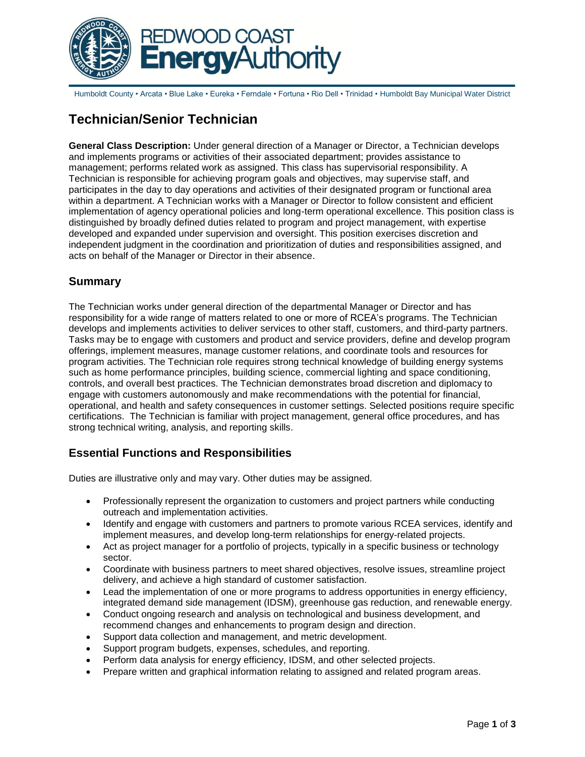

Humboldt County • Arcata • Blue Lake • Eureka • Ferndale • Fortuna • Rio Dell • Trinidad • Humboldt Bay Municipal Water District

# **Technician/Senior Technician**

**General Class Description:** Under general direction of a Manager or Director, a Technician develops and implements programs or activities of their associated department; provides assistance to management; performs related work as assigned. This class has supervisorial responsibility. A Technician is responsible for achieving program goals and objectives, may supervise staff, and participates in the day to day operations and activities of their designated program or functional area within a department. A Technician works with a Manager or Director to follow consistent and efficient implementation of agency operational policies and long-term operational excellence. This position class is distinguished by broadly defined duties related to program and project management, with expertise developed and expanded under supervision and oversight. This position exercises discretion and independent judgment in the coordination and prioritization of duties and responsibilities assigned, and acts on behalf of the Manager or Director in their absence.

# **Summary**

The Technician works under general direction of the departmental Manager or Director and has responsibility for a wide range of matters related to one or more of RCEA's programs. The Technician develops and implements activities to deliver services to other staff, customers, and third-party partners. Tasks may be to engage with customers and product and service providers, define and develop program offerings, implement measures, manage customer relations, and coordinate tools and resources for program activities. The Technician role requires strong technical knowledge of building energy systems such as home performance principles, building science, commercial lighting and space conditioning, controls, and overall best practices. The Technician demonstrates broad discretion and diplomacy to engage with customers autonomously and make recommendations with the potential for financial, operational, and health and safety consequences in customer settings. Selected positions require specific certifications. The Technician is familiar with project management, general office procedures, and has strong technical writing, analysis, and reporting skills.

# **Essential Functions and Responsibilities**

Duties are illustrative only and may vary. Other duties may be assigned.

- Professionally represent the organization to customers and project partners while conducting outreach and implementation activities.
- Identify and engage with customers and partners to promote various RCEA services, identify and implement measures, and develop long-term relationships for energy-related projects.
- Act as project manager for a portfolio of projects, typically in a specific business or technology sector.
- Coordinate with business partners to meet shared objectives, resolve issues, streamline project delivery, and achieve a high standard of customer satisfaction.
- Lead the implementation of one or more programs to address opportunities in energy efficiency, integrated demand side management (IDSM), greenhouse gas reduction, and renewable energy.
- Conduct ongoing research and analysis on technological and business development, and recommend changes and enhancements to program design and direction.
- Support data collection and management, and metric development.
- Support program budgets, expenses, schedules, and reporting.
- Perform data analysis for energy efficiency, IDSM, and other selected projects.
- Prepare written and graphical information relating to assigned and related program areas.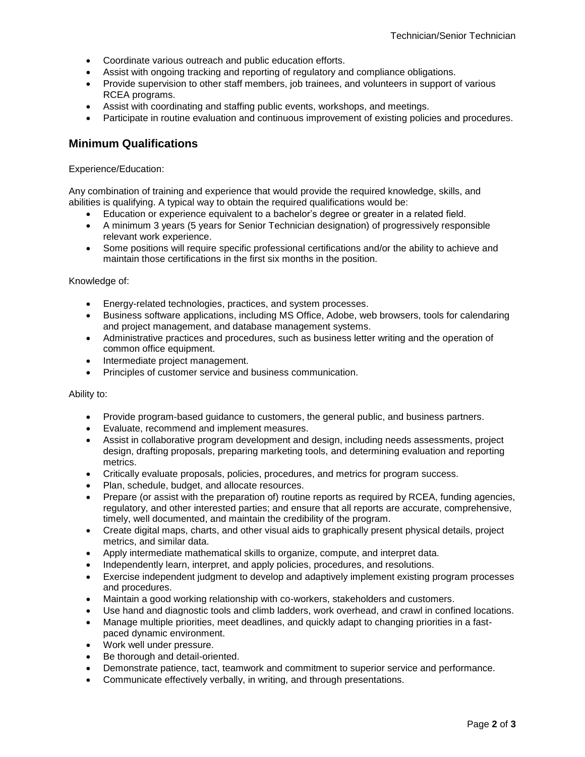- Coordinate various outreach and public education efforts.
- Assist with ongoing tracking and reporting of regulatory and compliance obligations.
- Provide supervision to other staff members, job trainees, and volunteers in support of various RCEA programs.
- Assist with coordinating and staffing public events, workshops, and meetings.
- Participate in routine evaluation and continuous improvement of existing policies and procedures.

### **Minimum Qualifications**

#### Experience/Education:

Any combination of training and experience that would provide the required knowledge, skills, and abilities is qualifying. A typical way to obtain the required qualifications would be:

- Education or experience equivalent to a bachelor's degree or greater in a related field.
- A minimum 3 years (5 years for Senior Technician designation) of progressively responsible relevant work experience.
- Some positions will require specific professional certifications and/or the ability to achieve and maintain those certifications in the first six months in the position.

#### Knowledge of:

- Energy-related technologies, practices, and system processes.
- Business software applications, including MS Office, Adobe, web browsers, tools for calendaring and project management, and database management systems.
- Administrative practices and procedures, such as business letter writing and the operation of common office equipment.
- Intermediate project management.
- Principles of customer service and business communication.

#### Ability to:

- Provide program-based guidance to customers, the general public, and business partners.
- Evaluate, recommend and implement measures.
- Assist in collaborative program development and design, including needs assessments, project design, drafting proposals, preparing marketing tools, and determining evaluation and reporting metrics.
- Critically evaluate proposals, policies, procedures, and metrics for program success.
- Plan, schedule, budget, and allocate resources.
- Prepare (or assist with the preparation of) routine reports as required by RCEA, funding agencies, regulatory, and other interested parties; and ensure that all reports are accurate, comprehensive, timely, well documented, and maintain the credibility of the program.
- Create digital maps, charts, and other visual aids to graphically present physical details, project metrics, and similar data.
- Apply intermediate mathematical skills to organize, compute, and interpret data.
- Independently learn, interpret, and apply policies, procedures, and resolutions.
- Exercise independent judgment to develop and adaptively implement existing program processes and procedures.
- Maintain a good working relationship with co-workers, stakeholders and customers.
- Use hand and diagnostic tools and climb ladders, work overhead, and crawl in confined locations.
- Manage multiple priorities, meet deadlines, and quickly adapt to changing priorities in a fastpaced dynamic environment.
- Work well under pressure.
- Be thorough and detail-oriented.
- Demonstrate patience, tact, teamwork and commitment to superior service and performance.
- Communicate effectively verbally, in writing, and through presentations.